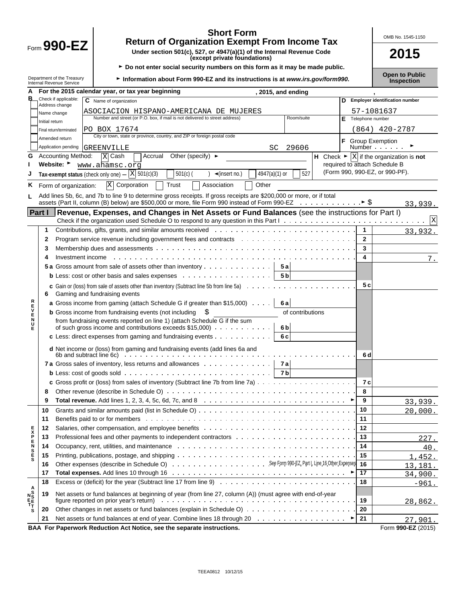|                                                      |                |                                                        | OMB No. 1545-1150                                                                                                                                                                                                                                                                                             |                               |                                                                                                        |
|------------------------------------------------------|----------------|--------------------------------------------------------|---------------------------------------------------------------------------------------------------------------------------------------------------------------------------------------------------------------------------------------------------------------------------------------------------------------|-------------------------------|--------------------------------------------------------------------------------------------------------|
|                                                      |                | Form $990 - EZ$                                        | <b>Return of Organization Exempt From Income Tax</b><br>Under section 501(c), 527, or 4947(a)(1) of the Internal Revenue Code<br>(except private foundations)                                                                                                                                                 |                               | 2015                                                                                                   |
|                                                      |                |                                                        | ► Do not enter social security numbers on this form as it may be made public.                                                                                                                                                                                                                                 |                               |                                                                                                        |
|                                                      |                | Department of the Treasury<br>Internal Revenue Service | Information about Form 990-EZ and its instructions is at www.irs.gov/form990.                                                                                                                                                                                                                                 |                               | <b>Open to Public</b><br>Inspection                                                                    |
| А                                                    |                |                                                        | For the 2015 calendar year, or tax year beginning<br>, 2015, and ending                                                                                                                                                                                                                                       |                               |                                                                                                        |
| в                                                    |                | Check if applicable:<br>Address change                 | C Name of organization                                                                                                                                                                                                                                                                                        | D                             | <b>Employer identification number</b>                                                                  |
|                                                      |                | Name change                                            | ASOCIACION HISPANO-AMERICANA DE MUJERES                                                                                                                                                                                                                                                                       |                               | 57-1081637                                                                                             |
|                                                      | Initial return |                                                        | Number and street (or P.O. box, if mail is not delivered to street address)<br>Room/suite                                                                                                                                                                                                                     | Telephone number<br>Е         |                                                                                                        |
|                                                      |                | Final return/terminated                                | PO BOX 17674                                                                                                                                                                                                                                                                                                  |                               | $(864)$ 420-2787                                                                                       |
|                                                      |                | Amended return                                         | City or town, state or province, country, and ZIP or foreign postal code                                                                                                                                                                                                                                      |                               |                                                                                                        |
|                                                      |                | Application pending                                    | 29606<br>GREENVILLE<br>SC                                                                                                                                                                                                                                                                                     | <b>F</b> Group Exemption      | Number                                                                                                 |
| G                                                    |                | <b>Accounting Method:</b>                              | $X$ Cash<br>Other (specify) $\blacktriangleright$<br>Accrual                                                                                                                                                                                                                                                  |                               | H Check $\blacktriangleright$ $\begin{vmatrix} X \\ X \end{vmatrix}$ if the organization is <b>not</b> |
|                                                      |                | Website:                                               | www.ahamsc.org                                                                                                                                                                                                                                                                                                | required to attach Schedule B |                                                                                                        |
|                                                      |                |                                                        | Tax-exempt status (check only one) $  X $ 501(c)(3)<br>527<br>$501(c)$ (<br>4947(a)(1) or<br>$\triangleleft$ (insert no.)                                                                                                                                                                                     |                               | (Form 990, 990-EZ, or 990-PF).                                                                         |
| ĸ                                                    |                | Form of organization:                                  | X Corporation<br>Trust<br>Association<br>Other                                                                                                                                                                                                                                                                |                               |                                                                                                        |
|                                                      |                |                                                        |                                                                                                                                                                                                                                                                                                               |                               |                                                                                                        |
|                                                      |                |                                                        | Add lines 5b, 6c, and 7b to line 9 to determine gross receipts. If gross receipts are \$200,000 or more, or if total                                                                                                                                                                                          |                               | 33,939.                                                                                                |
|                                                      | <b>Part I</b>  |                                                        | Revenue, Expenses, and Changes in Net Assets or Fund Balances (see the instructions for Part I)                                                                                                                                                                                                               |                               |                                                                                                        |
|                                                      |                |                                                        |                                                                                                                                                                                                                                                                                                               |                               | $\mathbf X$                                                                                            |
|                                                      | 1              |                                                        |                                                                                                                                                                                                                                                                                                               | 1                             | 33,932.                                                                                                |
|                                                      | 2              |                                                        |                                                                                                                                                                                                                                                                                                               | $\overline{2}$                |                                                                                                        |
|                                                      | 3              |                                                        |                                                                                                                                                                                                                                                                                                               | 3                             |                                                                                                        |
|                                                      | 4              | Investment income                                      |                                                                                                                                                                                                                                                                                                               | 4                             |                                                                                                        |
|                                                      |                |                                                        | 5 a Gross amount from sale of assets other than inventory<br>5a                                                                                                                                                                                                                                               |                               | $7_{\cdot\cdot}$                                                                                       |
|                                                      |                |                                                        | <b>b</b> Less: cost or other basis and sales expenses<br>5 <sub>b</sub>                                                                                                                                                                                                                                       |                               |                                                                                                        |
|                                                      |                |                                                        |                                                                                                                                                                                                                                                                                                               |                               |                                                                                                        |
|                                                      | 6              |                                                        | <b>c</b> Gain or (loss) from sale of assets other than inventory (Subtract line 5b from line 5a) $\ldots$ , $\ldots$ , $\ldots$<br>Gaming and fundraising events                                                                                                                                              | 5 c                           |                                                                                                        |
| R<br>E                                               |                |                                                        | <b>a</b> Gross income from gaming (attach Schedule G if greater than \$15,000)<br>6a                                                                                                                                                                                                                          |                               |                                                                                                        |
| v<br>Е                                               |                |                                                        | of contributions<br><b>b</b> Gross income from fundraising events (not including                                                                                                                                                                                                                              |                               |                                                                                                        |
| N<br>U<br>Е                                          |                |                                                        | from fundraising events reported on line 1) (attach Schedule G if the sum<br>of such gross income and contributions exceeds \$15,000)<br>6b                                                                                                                                                                   |                               |                                                                                                        |
|                                                      |                |                                                        | 6 c<br>c Less: direct expenses from gaming and fundraising events                                                                                                                                                                                                                                             |                               |                                                                                                        |
|                                                      |                |                                                        | d Net income or (loss) from gaming and fundraising events (add lines 6a and<br>6b and subtract line 6c) enterprise to the contract of the set of the set of the set of the set of the set of the set of the set of the set of the set of the set of the set of the set of the set of the set of the set of th | 6 d                           |                                                                                                        |
|                                                      |                |                                                        | <b>7a</b> Gross sales of inventory, less returns and allowances<br>7a                                                                                                                                                                                                                                         |                               |                                                                                                        |
|                                                      |                |                                                        | 7 b                                                                                                                                                                                                                                                                                                           |                               |                                                                                                        |
|                                                      |                |                                                        |                                                                                                                                                                                                                                                                                                               | 7с                            |                                                                                                        |
|                                                      | 8              |                                                        |                                                                                                                                                                                                                                                                                                               | 8                             |                                                                                                        |
|                                                      | 9              |                                                        |                                                                                                                                                                                                                                                                                                               | 9                             | 33,939.                                                                                                |
|                                                      | 10             |                                                        |                                                                                                                                                                                                                                                                                                               | 10                            | 20,000.                                                                                                |
|                                                      | 11             |                                                        | Benefits paid to or for members (e.g., e.g., e.g., e.g., e.g., e.g., e.g., e.g., e.g., e.g., e.g., e.g., e.g.,                                                                                                                                                                                                | 11                            |                                                                                                        |
|                                                      | 12             |                                                        |                                                                                                                                                                                                                                                                                                               | 12                            |                                                                                                        |
| E<br>N<br>P                                          | 13             |                                                        | Professional fees and other payments to independent contractors with the state of the state of the state of the                                                                                                                                                                                               | 13                            | 227.                                                                                                   |
|                                                      | 14             |                                                        | Occupancy, rent, utilities, and maintenance www.assets.com/www.assets.com/www.assets.com/www.assets.com/www.assets.com/www.assets.com/www.assets.com/www.assets.com/www.assets.com/www.assets.com/www.assets.com/www.assets.co                                                                                | 14                            | 40.                                                                                                    |
| ENNE                                                 | 15             |                                                        |                                                                                                                                                                                                                                                                                                               | 15                            | 1,452.                                                                                                 |
|                                                      | 16             |                                                        |                                                                                                                                                                                                                                                                                                               |                               | 13,181.                                                                                                |
|                                                      | 17             |                                                        | Total expenses. Add lines 10 through 16 \\cdot \\cdot \\cdot \\cdot \\cdot \\cdot \\cdot \\cdot \\cdot \\cdot \\cdot \\cdot \\cdot \\cdot \\cdot \\cdot \\cdot \\cdot \\cdot \\cdot \\cdot \\cdot \\cdot \\cdot \\cdot \\cdot                                                                                 | 17                            | 34,900.                                                                                                |
|                                                      | 18             |                                                        |                                                                                                                                                                                                                                                                                                               | 18                            | $-961.$                                                                                                |
|                                                      |                |                                                        |                                                                                                                                                                                                                                                                                                               |                               |                                                                                                        |
| $\begin{array}{c}\nA \\ N & S \\ F & F\n\end{array}$ | 19             |                                                        | Net assets or fund balances at beginning of year (from line 27, column (A)) (must agree with end-of-year<br>figure reported on prior year's return)                                                                                                                                                           | 19                            |                                                                                                        |
| ś                                                    | 20             |                                                        |                                                                                                                                                                                                                                                                                                               | 20                            | 28,862.                                                                                                |
|                                                      | 21             |                                                        |                                                                                                                                                                                                                                                                                                               | 21                            |                                                                                                        |
|                                                      |                |                                                        | emierik Deditation, Act Nation, ang the concrete instructions                                                                                                                                                                                                                                                 |                               | 27,901.<br>$T_{\text{arm}}$ 000 E7 (2045)                                                              |

**BAA For Paperwork Reduction Act Notice, see the separate instructions. The set of the separate instructions.** Form 990-EZ (2015)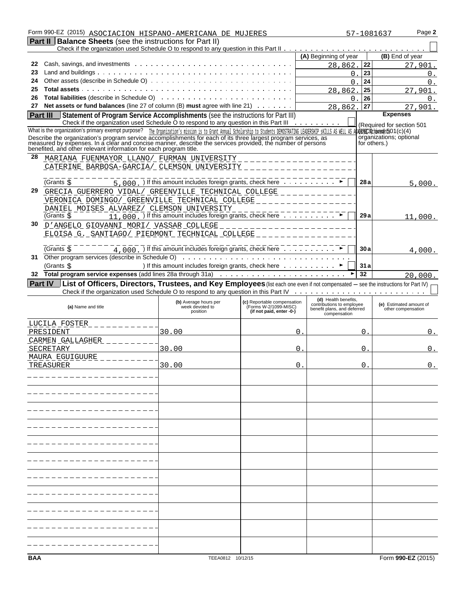|          | Form 990-EZ (2015) ASOCIACION HISPANO-AMERICANA DE MUJERES                                                                                                                                                                                            |                                                                                                              |                                                                                  |                                                                                                  |              | Page 2<br>57-1081637                                      |
|----------|-------------------------------------------------------------------------------------------------------------------------------------------------------------------------------------------------------------------------------------------------------|--------------------------------------------------------------------------------------------------------------|----------------------------------------------------------------------------------|--------------------------------------------------------------------------------------------------|--------------|-----------------------------------------------------------|
|          | <b>Part II Balance Sheets</b> (see the instructions for Part II)                                                                                                                                                                                      |                                                                                                              |                                                                                  |                                                                                                  |              |                                                           |
|          |                                                                                                                                                                                                                                                       |                                                                                                              |                                                                                  | (A) Beginning of year                                                                            |              | (B) End of year                                           |
| 22       |                                                                                                                                                                                                                                                       |                                                                                                              |                                                                                  | 28,862.                                                                                          | 22           | 27.901.                                                   |
| 23       |                                                                                                                                                                                                                                                       |                                                                                                              |                                                                                  | $\mathsf{O}$ .                                                                                   | 23           | 0.                                                        |
| 24       |                                                                                                                                                                                                                                                       |                                                                                                              |                                                                                  | $\Omega$                                                                                         | 24           | 0.                                                        |
| 25       |                                                                                                                                                                                                                                                       |                                                                                                              |                                                                                  | 28,862                                                                                           | 25           | 27,901.                                                   |
| 26       |                                                                                                                                                                                                                                                       |                                                                                                              |                                                                                  | $\Omega$                                                                                         | 26           | 0.                                                        |
| 27       | Net assets or fund balances (line 27 of column $(B)$ must agree with line 21) $\ldots \ldots$                                                                                                                                                         |                                                                                                              |                                                                                  | 28,862                                                                                           | 27           | 27,901.                                                   |
| Part III | Statement of Program Service Accomplishments (see the instructions for Part III)                                                                                                                                                                      |                                                                                                              |                                                                                  |                                                                                                  |              | <b>Expenses</b>                                           |
|          | Check if the organization used Schedule O to respond to any question in this Part III                                                                                                                                                                 |                                                                                                              |                                                                                  |                                                                                                  |              | (Required for section 501                                 |
|          | What is the organization's primary exempt purpose? The Organization's mission is to Grant Annual Scholarship to Students DEMOSTRATING LEADERSHIP SKILLS AS WELL AS                                                                                    |                                                                                                              |                                                                                  |                                                                                                  |              | A <b>CON(3):Bongh501(c)(4)</b><br>organizations, optional |
|          | Describe the organization's program service accomplishments for each of its three largest program services, as<br>measured by expenses. In a clear and concise manner, describe the services provided, the number of persons<br>bene                  |                                                                                                              |                                                                                  |                                                                                                  | for others.) |                                                           |
| 28       | MARIANA FUENMAYOR LLANO/ FURMAN UNIVERSITY<br>CATERINE BARBOSA-GARCIA/ CLEMSON UNIVERSITY                                                                                                                                                             |                                                                                                              |                                                                                  |                                                                                                  |              |                                                           |
|          | (Grants S                                                                                                                                                                                                                                             | $\overline{5,000.}$ ) If this amount includes foreign grants, check here $\overline{1,1}$ , $\overline{1,1}$ |                                                                                  |                                                                                                  | 28a          | 5.000.                                                    |
| 29       | GRECIA GUERRERO VIDAL/ GREENVILLE TECHNICAL COLLEGE _ _ _ _ _ _ _                                                                                                                                                                                     |                                                                                                              |                                                                                  |                                                                                                  |              |                                                           |
|          | VERONICA DOMINGO/ GREENVILLE TECHNICAL COLLEGE<br>DANIEL MOISES ALVAREZ/ CLEMSON UNIVERSITY                                                                                                                                                           |                                                                                                              |                                                                                  |                                                                                                  |              |                                                           |
|          | (Grants \$                                                                                                                                                                                                                                            | 11,000. If this amount includes foreign grants, check here                                                   |                                                                                  |                                                                                                  | 29 a         | 11,000.                                                   |
| 30       | D'ANGELO GIOVANNI MORI/ VASSAR COLLEGE                                                                                                                                                                                                                |                                                                                                              | ---------------                                                                  |                                                                                                  |              |                                                           |
|          | <u> ELOISA G. SANTIAGO/ PIEDMONT TECHNICAL COLLEGE _ _ _ _ _ _ _ _ _ _</u>                                                                                                                                                                            |                                                                                                              |                                                                                  |                                                                                                  |              |                                                           |
|          | (Grants \$                                                                                                                                                                                                                                            | $\overline{4,000}$ . If this amount includes foreign grants, check here $\overline{1,000}$ .                 |                                                                                  |                                                                                                  | 30a          | 4.000.                                                    |
| 31       | Other program services (describe in Schedule O)                                                                                                                                                                                                       |                                                                                                              |                                                                                  |                                                                                                  |              |                                                           |
|          | (Grants \$                                                                                                                                                                                                                                            | ) If this amount includes foreign grants, check here ▶                                                       |                                                                                  |                                                                                                  | 31a          |                                                           |
| 32       |                                                                                                                                                                                                                                                       |                                                                                                              |                                                                                  |                                                                                                  | 32           | 20.000.                                                   |
|          | List of Officers, Directors, Trustees, and Key Employees (list each one even if not compensated - see the instructions for Part IV)<br><b>Part IV</b><br>Check if the organization used Schedule O to respond to any question in this Part IV $\dots$ |                                                                                                              |                                                                                  |                                                                                                  |              |                                                           |
|          | (a) Name and title                                                                                                                                                                                                                                    | (b) Average hours per<br>week devoted to<br>position                                                         | (c) Reportable compensation<br>(Forms W-2/1099-MISC)<br>(if not paid, enter -0-) | (d) Health benefits.<br>contributions to employee<br>benefit plans, and deferred<br>compensation |              | (e) Estimated amount of<br>other compensation             |
|          | LUCILA FOSTER                                                                                                                                                                                                                                         |                                                                                                              |                                                                                  |                                                                                                  |              |                                                           |
|          | PRESIDENT                                                                                                                                                                                                                                             | 30.00                                                                                                        | 0                                                                                |                                                                                                  | 0.           | 0.                                                        |
|          | CARMEN GALLAGHER                                                                                                                                                                                                                                      |                                                                                                              |                                                                                  |                                                                                                  |              |                                                           |
|          | SECRETARY                                                                                                                                                                                                                                             | 30.00                                                                                                        | $\Omega$                                                                         |                                                                                                  | 0.           | 0.                                                        |
|          | MAURA EGUIGUURE<br>TREASURER                                                                                                                                                                                                                          | 30.00                                                                                                        | 0                                                                                |                                                                                                  | 0.           | 0.                                                        |
|          |                                                                                                                                                                                                                                                       |                                                                                                              |                                                                                  |                                                                                                  |              |                                                           |
|          |                                                                                                                                                                                                                                                       |                                                                                                              |                                                                                  |                                                                                                  |              |                                                           |
|          |                                                                                                                                                                                                                                                       |                                                                                                              |                                                                                  |                                                                                                  |              |                                                           |
|          |                                                                                                                                                                                                                                                       |                                                                                                              |                                                                                  |                                                                                                  |              |                                                           |
|          |                                                                                                                                                                                                                                                       |                                                                                                              |                                                                                  |                                                                                                  |              |                                                           |
|          |                                                                                                                                                                                                                                                       |                                                                                                              |                                                                                  |                                                                                                  |              |                                                           |
|          |                                                                                                                                                                                                                                                       |                                                                                                              |                                                                                  |                                                                                                  |              |                                                           |
|          |                                                                                                                                                                                                                                                       |                                                                                                              |                                                                                  |                                                                                                  |              |                                                           |
|          |                                                                                                                                                                                                                                                       |                                                                                                              |                                                                                  |                                                                                                  |              |                                                           |
|          |                                                                                                                                                                                                                                                       |                                                                                                              |                                                                                  |                                                                                                  |              |                                                           |
|          |                                                                                                                                                                                                                                                       |                                                                                                              |                                                                                  |                                                                                                  |              |                                                           |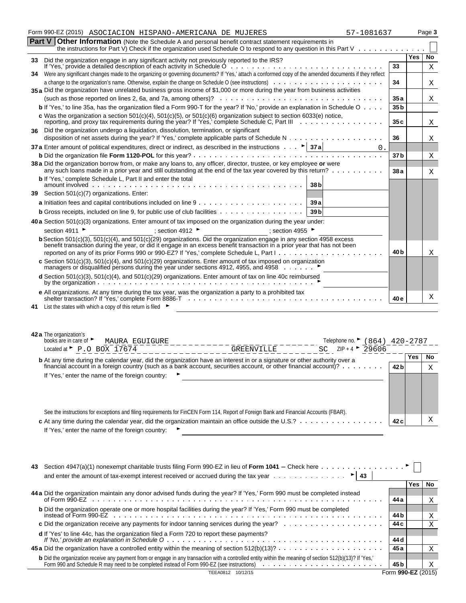|               | Form 990-EZ (2015) ASOCIACION HISPANO-AMERICANA DE MUJERES<br>57-1081637                                                                                                                                                                                                                                                                                        |                 |            | Page 3    |
|---------------|-----------------------------------------------------------------------------------------------------------------------------------------------------------------------------------------------------------------------------------------------------------------------------------------------------------------------------------------------------------------|-----------------|------------|-----------|
| <b>Part V</b> | Other Information (Note the Schedule A and personal benefit contract statement requirements in<br>the instructions for Part V) Check if the organization used Schedule O to respond to any question in this Part V $\dots$                                                                                                                                      |                 |            |           |
| 33            | Did the organization engage in any significant activity not previously reported to the IRS?                                                                                                                                                                                                                                                                     |                 | Yes        | <b>No</b> |
|               |                                                                                                                                                                                                                                                                                                                                                                 | 33              |            | Χ         |
|               | 34 Were any significant changes made to the organizing or governing documents? If 'Yes,' attach a conformed copy of the amended documents if they reflect                                                                                                                                                                                                       |                 |            |           |
|               |                                                                                                                                                                                                                                                                                                                                                                 | 34              |            | Χ         |
|               | 35a Did the organization have unrelated business gross income of \$1,000 or more during the year from business activities                                                                                                                                                                                                                                       |                 |            |           |
|               |                                                                                                                                                                                                                                                                                                                                                                 | 35 a            |            | Χ         |
|               | <b>b</b> If 'Yes,' to line 35a, has the organization filed a Form 990-T for the year? If 'No,' provide an explanation in Schedule $O_1$                                                                                                                                                                                                                         | 35 <sub>b</sub> |            |           |
|               | c Was the organization a section $501(c)(4)$ , $501(c)(5)$ , or $501(c)(6)$ organization subject to section 6033(e) notice,                                                                                                                                                                                                                                     | 35c             |            | Χ         |
| 36            | Did the organization undergo a liquidation, dissolution, termination, or significant                                                                                                                                                                                                                                                                            |                 |            |           |
|               |                                                                                                                                                                                                                                                                                                                                                                 | 36              |            | Χ         |
|               | 37 a Enter amount of political expenditures, direct or indirect, as described in the instructions $\cdots$   37 a<br>0.                                                                                                                                                                                                                                         |                 |            |           |
|               |                                                                                                                                                                                                                                                                                                                                                                 | 37 <sub>b</sub> |            | Χ         |
|               | 38 a Did the organization borrow from, or make any loans to, any officer, director, trustee, or key employee or were<br>any such loans made in a prior year and still outstanding at the end of the tax year covered by this return?                                                                                                                            | 38a             |            | X         |
|               | <b>b</b> If 'Yes,' complete Schedule L, Part II and enter the total                                                                                                                                                                                                                                                                                             |                 |            |           |
|               | .<br>38 <sub>b</sub>                                                                                                                                                                                                                                                                                                                                            |                 |            |           |
| 39            | Section 501(c)(7) organizations. Enter:                                                                                                                                                                                                                                                                                                                         |                 |            |           |
|               | 39a                                                                                                                                                                                                                                                                                                                                                             |                 |            |           |
|               | 39 <sub>b</sub><br><b>b</b> Gross receipts, included on line 9, for public use of club facilities $\ldots$ , $\ldots$ , $\ldots$ , $\ldots$                                                                                                                                                                                                                     |                 |            |           |
|               | 40 a Section 501(c)(3) organizations. Enter amount of tax imposed on the organization during the year under:                                                                                                                                                                                                                                                    |                 |            |           |
|               | section 4911<br>; section 4912<br>: section 4955 $\blacktriangleright$                                                                                                                                                                                                                                                                                          |                 |            |           |
|               | <b>b</b> Section 501(c)(3), $\frac{501(c)(4)}{2}$ , and $\frac{501(c)(29)}{2}$ organizations. Did the organization engage in any section 4958 excess                                                                                                                                                                                                            |                 |            |           |
|               | benefit transaction during the year, or did it engage in an excess benefit transaction in a prior year that has not been                                                                                                                                                                                                                                        | 40 <sub>b</sub> |            | Х         |
|               | c Section 501(c)(3), 501(c)(4), and 501(c)(29) organizations. Enter amount of tax imposed on organization<br>managers or disqualitied persons during the year under sections 4912, 4955, and 4958                                                                                                                                                               |                 |            |           |
|               | d Section 501(c)(3), 501(c)(4), and 501(c)(29) organizations. Enter amount of tax on line 40c reimbursed                                                                                                                                                                                                                                                        |                 |            |           |
|               |                                                                                                                                                                                                                                                                                                                                                                 |                 |            |           |
|               | e All organizations. At any time during the tax year, was the organization a party to a prohibited tax                                                                                                                                                                                                                                                          | 40 e            |            | X         |
|               | 41 List the states with which a copy of this return is filed $\blacktriangleright$                                                                                                                                                                                                                                                                              |                 |            |           |
|               | 42 a The organization's<br>books are in care of<br>Telephone no. $\blacktriangleright$ (864) 420-2787<br>MAURA EGUIGURE<br>SC $ZIP + 4$ $\rightarrow$ 29606<br>Located at $\blacktriangleright$ P.O BOX 17674<br>GREENVILLE<br><b>b</b> At any time during the calendar year, did the organization have an interest in or a signature or other authority over a |                 | <b>Yes</b> | No        |
|               | financial account in a foreign country (such as a bank account, securities account, or other financial account)? $\cdots$                                                                                                                                                                                                                                       | 42 b            |            | Χ         |
|               | If 'Yes,' enter the name of the foreign country:                                                                                                                                                                                                                                                                                                                |                 |            |           |
|               |                                                                                                                                                                                                                                                                                                                                                                 |                 |            |           |

| See the instructions for exceptions and filing requirements for FinCEN Form 114, Report of Foreign Bank and Financial Accounts (FBAR).  |      |  |  |  |  |
|-----------------------------------------------------------------------------------------------------------------------------------------|------|--|--|--|--|
| <b>c</b> At any time during the calendar year, did the organization maintain an office outside the U.S.? $\ldots$ , $\ldots$ , $\ldots$ | 42 c |  |  |  |  |
| If 'Yes,' enter the name of the foreign country:                                                                                        |      |  |  |  |  |

X

| Section 4947(a)(1) nonexempt charitable trusts filing Form 990-EZ in lieu of Form 1041 - Check here<br>43                                                                                                                         |                    |     |     |
|-----------------------------------------------------------------------------------------------------------------------------------------------------------------------------------------------------------------------------------|--------------------|-----|-----|
| and enter the amount of tax-exempt interest received or accrued during the tax year $\dots \dots \dots \dots$                                                                                                                     |                    | Yes | No. |
| 44 a Did the organization maintain any donor advised funds during the year? If 'Yes,' Form 990 must be completed instead                                                                                                          | 44 a               |     |     |
| <b>b</b> Did the organization operate one or more hospital facilities during the year? If 'Yes,' Form 990 must be completed                                                                                                       | 44 b               |     | Χ   |
|                                                                                                                                                                                                                                   | 44 c               |     |     |
| d If 'Yes' to line 44c, has the organization filed a Form 720 to report these payments?                                                                                                                                           | 44 d               |     |     |
| <b>45 a</b> Did the organization have a controlled entity within the meaning of section $512(b)(13)? \ldots \ldots \ldots \ldots \ldots \ldots$                                                                                   | 45 a               |     | Χ   |
| b Did the organization receive any payment from or engage in any transaction with a controlled entity within the meaning of section 512(b)(13)? If 'Yes,'<br>Form 990 and Schedule R may need to be completed instead of Form 990 | 45 b               |     |     |
|                                                                                                                                                                                                                                   | Form 990-EZ (2015) |     |     |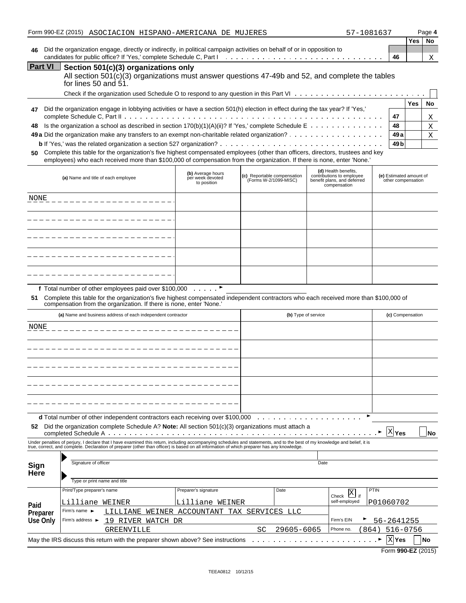|                | Form 990-EZ (2015) ASOCIACION HISPANO-AMERICANA DE MUJERES                                                                                                                                                                                                                                                               |                                                      |                                                      | 57-1081637                                                                                       |                                               |            | Page 4    |
|----------------|--------------------------------------------------------------------------------------------------------------------------------------------------------------------------------------------------------------------------------------------------------------------------------------------------------------------------|------------------------------------------------------|------------------------------------------------------|--------------------------------------------------------------------------------------------------|-----------------------------------------------|------------|-----------|
|                |                                                                                                                                                                                                                                                                                                                          |                                                      |                                                      |                                                                                                  |                                               | Yes        | No        |
| 46             | Did the organization engage, directly or indirectly, in political campaign activities on behalf of or in opposition to                                                                                                                                                                                                   |                                                      |                                                      |                                                                                                  |                                               |            |           |
|                |                                                                                                                                                                                                                                                                                                                          |                                                      |                                                      |                                                                                                  | 46                                            |            | Χ         |
| <b>Part VI</b> | Section 501(c)(3) organizations only<br>All section 501(c)(3) organizations must answer questions 47-49b and 52, and complete the tables                                                                                                                                                                                 |                                                      |                                                      |                                                                                                  |                                               |            |           |
|                | for lines 50 and $51$ .                                                                                                                                                                                                                                                                                                  |                                                      |                                                      |                                                                                                  |                                               |            |           |
|                |                                                                                                                                                                                                                                                                                                                          |                                                      |                                                      |                                                                                                  |                                               |            |           |
|                |                                                                                                                                                                                                                                                                                                                          |                                                      |                                                      |                                                                                                  |                                               | <b>Yes</b> | No        |
| 47             | Did the organization engage in lobbying activities or have a section 501(h) election in effect during the tax year? If 'Yes,'                                                                                                                                                                                            |                                                      |                                                      |                                                                                                  | 47                                            |            | X         |
| 48             |                                                                                                                                                                                                                                                                                                                          |                                                      |                                                      |                                                                                                  | 48                                            |            | Χ         |
|                |                                                                                                                                                                                                                                                                                                                          |                                                      |                                                      |                                                                                                  | 49 a                                          |            | X         |
|                |                                                                                                                                                                                                                                                                                                                          |                                                      |                                                      |                                                                                                  | 49 b                                          |            |           |
| 50             | Complete this table for the organization's five highest compensated employees (other than officers, directors, trustees and key<br>employees) who each received more than \$100,000 of compensation from the organization. If there is none, enter 'None.'                                                               |                                                      |                                                      |                                                                                                  |                                               |            |           |
|                | (a) Name and title of each employee                                                                                                                                                                                                                                                                                      | (b) Average hours<br>per week devoted<br>to position | (c) Reportable compensation<br>(Forms W-2/1099-MISC) | (d) Health benefits,<br>contributions to employee<br>benefit plans, and deferred<br>compensation | (e) Estimated amount of<br>other compensation |            |           |
| NONE           |                                                                                                                                                                                                                                                                                                                          |                                                      |                                                      |                                                                                                  |                                               |            |           |
|                |                                                                                                                                                                                                                                                                                                                          |                                                      |                                                      |                                                                                                  |                                               |            |           |
|                |                                                                                                                                                                                                                                                                                                                          |                                                      |                                                      |                                                                                                  |                                               |            |           |
|                |                                                                                                                                                                                                                                                                                                                          |                                                      |                                                      |                                                                                                  |                                               |            |           |
|                |                                                                                                                                                                                                                                                                                                                          |                                                      |                                                      |                                                                                                  |                                               |            |           |
|                |                                                                                                                                                                                                                                                                                                                          |                                                      |                                                      |                                                                                                  |                                               |            |           |
|                |                                                                                                                                                                                                                                                                                                                          |                                                      |                                                      |                                                                                                  |                                               |            |           |
|                |                                                                                                                                                                                                                                                                                                                          |                                                      |                                                      |                                                                                                  |                                               |            |           |
| 51             | f Total number of other employees paid over \$100,000 $\ldots$ .<br>Complete this table for the organization's five highest compensated independent contractors who each received more than \$100,000 of<br>compensation from the organization. If there is none, enter 'None.'                                          |                                                      |                                                      |                                                                                                  |                                               |            |           |
|                | (a) Name and business address of each independent contractor                                                                                                                                                                                                                                                             |                                                      |                                                      | (b) Type of service                                                                              | (c) Compensation                              |            |           |
| NONE           |                                                                                                                                                                                                                                                                                                                          |                                                      |                                                      |                                                                                                  |                                               |            |           |
|                |                                                                                                                                                                                                                                                                                                                          |                                                      |                                                      |                                                                                                  |                                               |            |           |
|                |                                                                                                                                                                                                                                                                                                                          |                                                      |                                                      |                                                                                                  |                                               |            |           |
|                |                                                                                                                                                                                                                                                                                                                          |                                                      |                                                      |                                                                                                  |                                               |            |           |
|                |                                                                                                                                                                                                                                                                                                                          |                                                      |                                                      |                                                                                                  |                                               |            |           |
|                |                                                                                                                                                                                                                                                                                                                          |                                                      |                                                      |                                                                                                  |                                               |            |           |
|                |                                                                                                                                                                                                                                                                                                                          |                                                      |                                                      |                                                                                                  |                                               |            |           |
|                |                                                                                                                                                                                                                                                                                                                          |                                                      |                                                      |                                                                                                  |                                               |            |           |
|                | d Total number of other independent contractors each receiving over \$100,000                                                                                                                                                                                                                                            |                                                      | .                                                    |                                                                                                  |                                               |            |           |
| 52             | Did the organization complete Schedule A? Note: All section $501(c)(3)$ organizations must attach a                                                                                                                                                                                                                      |                                                      |                                                      |                                                                                                  |                                               |            |           |
|                |                                                                                                                                                                                                                                                                                                                          |                                                      |                                                      |                                                                                                  | X<br>Yes                                      |            | <b>No</b> |
|                | Under penalties of perjury, I declare that I have examined this return, including accompanying schedules and statements, and to the best of my knowledge and belief, it is<br>true, correct, and complete. Declaration of preparer (other than officer) is based on all information of which preparer has any knowledge. |                                                      |                                                      |                                                                                                  |                                               |            |           |
|                | Signature of officer                                                                                                                                                                                                                                                                                                     |                                                      |                                                      | Date                                                                                             |                                               |            |           |
| Sign<br>Here   |                                                                                                                                                                                                                                                                                                                          |                                                      |                                                      |                                                                                                  |                                               |            |           |
|                | Type or print name and title                                                                                                                                                                                                                                                                                             |                                                      |                                                      |                                                                                                  |                                               |            |           |
|                | Print/Type preparer's name                                                                                                                                                                                                                                                                                               | Preparer's signature                                 | Date                                                 | $\overline{\text{X}}$                                                                            | PTIN                                          |            |           |
| Paid           | Lilliane WEINER                                                                                                                                                                                                                                                                                                          | Lilliane WEINER                                      |                                                      | Check<br>self-employed                                                                           | P01060702                                     |            |           |
| Preparer       | Firm's name $\blacktriangleright$<br>LILLIANE                                                                                                                                                                                                                                                                            |                                                      | WEINER ACCOUNTANT TAX SERVICES LLC                   |                                                                                                  |                                               |            |           |
| Use Only       | Firm's address ►<br>19 RIVER<br>WATCH DR                                                                                                                                                                                                                                                                                 |                                                      |                                                      | Firm's EIN                                                                                       | 56-2641255                                    |            |           |

| Form 990-EZ (2015) |  |
|--------------------|--|

May the IRS discuss this return with the preparer shown above? See instructions **Good Company Active** Active Active Mo

GREENVILLE SC 29605-6065 Phone no. (864) 516-0756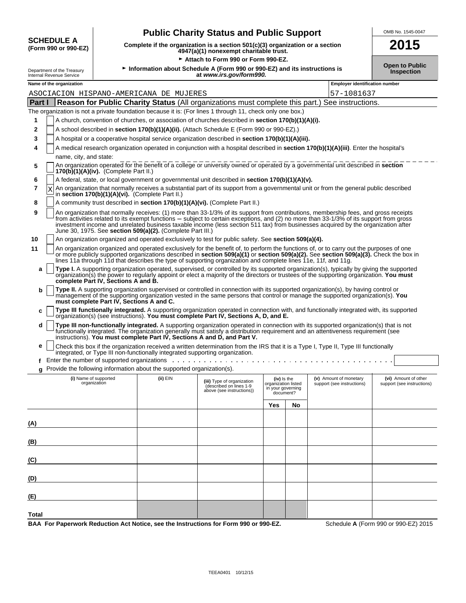| <b>SCHEDULE A</b><br>(Form 990 or 990-EZ)              |                                       |                                          | Complete if the organization is a section 501(c)(3) organization or a section<br>4947(a)(1) nonexempt charitable trust. |                                                                                                                                                                                                                                                                                                                                                                                                                      | 2015                                                                 |    |                                                      |                                                    |  |  |  |  |
|--------------------------------------------------------|---------------------------------------|------------------------------------------|-------------------------------------------------------------------------------------------------------------------------|----------------------------------------------------------------------------------------------------------------------------------------------------------------------------------------------------------------------------------------------------------------------------------------------------------------------------------------------------------------------------------------------------------------------|----------------------------------------------------------------------|----|------------------------------------------------------|----------------------------------------------------|--|--|--|--|
| Department of the Treasury<br>Internal Revenue Service |                                       |                                          |                                                                                                                         | Attach to Form 990 or Form 990-EZ.<br>Information about Schedule A (Form 990 or 990-EZ) and its instructions is<br>at www.irs.gov/form990.                                                                                                                                                                                                                                                                           |                                                                      |    |                                                      | <b>Open to Public</b><br>Inspection                |  |  |  |  |
| Name of the organization                               |                                       |                                          |                                                                                                                         |                                                                                                                                                                                                                                                                                                                                                                                                                      |                                                                      |    | <b>Employer identification number</b>                |                                                    |  |  |  |  |
|                                                        |                                       |                                          | ASOCIACION HISPANO-AMERICANA DE MUJERES                                                                                 |                                                                                                                                                                                                                                                                                                                                                                                                                      |                                                                      |    | 57-1081637                                           |                                                    |  |  |  |  |
| Part I                                                 |                                       |                                          |                                                                                                                         | Reason for Public Charity Status (All organizations must complete this part.) See instructions.                                                                                                                                                                                                                                                                                                                      |                                                                      |    |                                                      |                                                    |  |  |  |  |
|                                                        |                                       |                                          |                                                                                                                         | The organization is not a private foundation because it is: (For lines 1 through 11, check only one box.)                                                                                                                                                                                                                                                                                                            |                                                                      |    |                                                      |                                                    |  |  |  |  |
| 1                                                      |                                       |                                          |                                                                                                                         | A church, convention of churches, or association of churches described in <b>section 170(b)(1)(A)(i).</b>                                                                                                                                                                                                                                                                                                            |                                                                      |    |                                                      |                                                    |  |  |  |  |
| 2                                                      |                                       |                                          |                                                                                                                         | A school described in section 170(b)(1)(A)(ii). (Attach Schedule E (Form 990 or 990-EZ).)                                                                                                                                                                                                                                                                                                                            |                                                                      |    |                                                      |                                                    |  |  |  |  |
| 3                                                      |                                       |                                          |                                                                                                                         | A hospital or a cooperative hospital service organization described in section 170(b)(1)(A)(iii).                                                                                                                                                                                                                                                                                                                    |                                                                      |    |                                                      |                                                    |  |  |  |  |
| 4                                                      |                                       |                                          |                                                                                                                         | A medical research organization operated in conjunction with a hospital described in section 170(b)(1)(A)(iii). Enter the hospital's                                                                                                                                                                                                                                                                                 |                                                                      |    |                                                      |                                                    |  |  |  |  |
|                                                        | name, city, and state:                |                                          |                                                                                                                         |                                                                                                                                                                                                                                                                                                                                                                                                                      |                                                                      |    |                                                      |                                                    |  |  |  |  |
| 5                                                      |                                       | 170(b)(1)(A)(iv). (Complete Part II.)    |                                                                                                                         | An organization operated for the benefit of a college or university owned or operated by a governmental unit described in section                                                                                                                                                                                                                                                                                    |                                                                      |    |                                                      |                                                    |  |  |  |  |
| 6                                                      |                                       |                                          |                                                                                                                         | A federal, state, or local government or governmental unit described in section 170(b)(1)(A)(v).                                                                                                                                                                                                                                                                                                                     |                                                                      |    |                                                      |                                                    |  |  |  |  |
| 7<br>Χ                                                 |                                       |                                          | in section 170(b)(1)(A)(vi). (Complete Part II.)                                                                        | An organization that normally receives a substantial part of its support from a governmental unit or from the general public described                                                                                                                                                                                                                                                                               |                                                                      |    |                                                      |                                                    |  |  |  |  |
| 8                                                      |                                       |                                          |                                                                                                                         | A community trust described in section 170(b)(1)(A)(vi). (Complete Part II.)                                                                                                                                                                                                                                                                                                                                         |                                                                      |    |                                                      |                                                    |  |  |  |  |
| 9                                                      |                                       |                                          | June 30, 1975. See section 509(a)(2). (Complete Part III.)                                                              | An organization that normally receives: (1) more than 33-1/3% of its support from contributions, membership fees, and gross receipts<br>from activities related to its exempt functions – subject to certain exceptions, and (2) no more than 33-1/3% of its support from gross<br>investment income and unrelated business taxable income (less section 511 tax) from businesses acquired by the organization after |                                                                      |    |                                                      |                                                    |  |  |  |  |
| 10                                                     |                                       |                                          |                                                                                                                         | An organization organized and operated exclusively to test for public safety. See section 509(a)(4).                                                                                                                                                                                                                                                                                                                 |                                                                      |    |                                                      |                                                    |  |  |  |  |
| 11                                                     |                                       |                                          |                                                                                                                         | An organization organized and operated exclusively for the benefit of, to perform the functions of, or to carry out the purposes of one<br>or more publicly supported organizations described in section 509(a)(1) or section 509(a)(2). See section 509(a)(3). Check the box in<br>lines 11a through 11d that describes the type of supporting organization and complete lines 11e, 11f, and 11g.                   |                                                                      |    |                                                      |                                                    |  |  |  |  |
| a                                                      |                                       | complete Part IV, Sections A and B.      |                                                                                                                         | Type I. A supporting organization operated, supervised, or controlled by its supported organization(s), typically by giving the supported<br>organization(s) the power to regularly appoint or elect a majority of the directors or trustees of the supporting organization. You must                                                                                                                                |                                                                      |    |                                                      |                                                    |  |  |  |  |
| b                                                      |                                       | must complete Part IV, Sections A and C. |                                                                                                                         | Type II. A supporting organization supervised or controlled in connection with its supported organization(s), by having control or<br>management of the supporting organization vested in the same persons that control or manage the supported organization(s). You                                                                                                                                                 |                                                                      |    |                                                      |                                                    |  |  |  |  |
| c                                                      |                                       |                                          |                                                                                                                         | Type III functionally integrated. A supporting organization operated in connection with, and functionally integrated with, its supported<br>organization(s) (see instructions). You must complete Part IV, Sections A, D, and E.                                                                                                                                                                                     |                                                                      |    |                                                      |                                                    |  |  |  |  |
| d                                                      |                                       |                                          |                                                                                                                         | Type III non-functionally integrated. A supporting organization operated in connection with its supported organization(s) that is not<br>functionally integrated. The organization generally must satisfy a distribution requirement and an attentiveness requirement (see<br>instructions). You must complete Part IV, Sections A and D, and Part V.                                                                |                                                                      |    |                                                      |                                                    |  |  |  |  |
| е                                                      |                                       |                                          | integrated, or Type III non-functionally integrated supporting organization.                                            | Check this box if the organization received a written determination from the IRS that it is a Type I, Type II, Type III functionally                                                                                                                                                                                                                                                                                 |                                                                      |    |                                                      |                                                    |  |  |  |  |
|                                                        |                                       |                                          |                                                                                                                         | Enter the number of supported organizations enterstanding to the contract of the number of supported organizations of the contract of the contract of the number of supported or the contract of the contract of the contract                                                                                                                                                                                        |                                                                      |    |                                                      |                                                    |  |  |  |  |
|                                                        |                                       |                                          | Provide the following information about the supported organization(s).                                                  |                                                                                                                                                                                                                                                                                                                                                                                                                      |                                                                      |    |                                                      |                                                    |  |  |  |  |
|                                                        | (i) Name of supported<br>organization |                                          | (ii) EIN                                                                                                                | (iii) Type of organization<br>(described on lines 1-9<br>above (see instructions))                                                                                                                                                                                                                                                                                                                                   | (iv) is the<br>organization listed<br>in your governing<br>document? |    | (v) Amount of monetary<br>support (see instructions) | (vi) Amount of other<br>support (see instructions) |  |  |  |  |
|                                                        |                                       |                                          |                                                                                                                         |                                                                                                                                                                                                                                                                                                                                                                                                                      | Yes                                                                  | No |                                                      |                                                    |  |  |  |  |
|                                                        |                                       |                                          |                                                                                                                         |                                                                                                                                                                                                                                                                                                                                                                                                                      |                                                                      |    |                                                      |                                                    |  |  |  |  |
| (A)                                                    |                                       |                                          |                                                                                                                         |                                                                                                                                                                                                                                                                                                                                                                                                                      |                                                                      |    |                                                      |                                                    |  |  |  |  |
| (B)                                                    |                                       |                                          |                                                                                                                         |                                                                                                                                                                                                                                                                                                                                                                                                                      |                                                                      |    |                                                      |                                                    |  |  |  |  |
|                                                        |                                       |                                          |                                                                                                                         |                                                                                                                                                                                                                                                                                                                                                                                                                      |                                                                      |    |                                                      |                                                    |  |  |  |  |
| (C)                                                    |                                       |                                          |                                                                                                                         |                                                                                                                                                                                                                                                                                                                                                                                                                      |                                                                      |    |                                                      |                                                    |  |  |  |  |

**Public Charity Status and Public Support** Manusch Manusch Manusch

**BAA For Paperwork Reduction Act Notice, see the Instructions for Form 990 or 990-EZ.** Schedule **A** (Form 990 or 990-EZ) 2015

**(D)**

**(E)**

**Total**

**SCHEDULE A**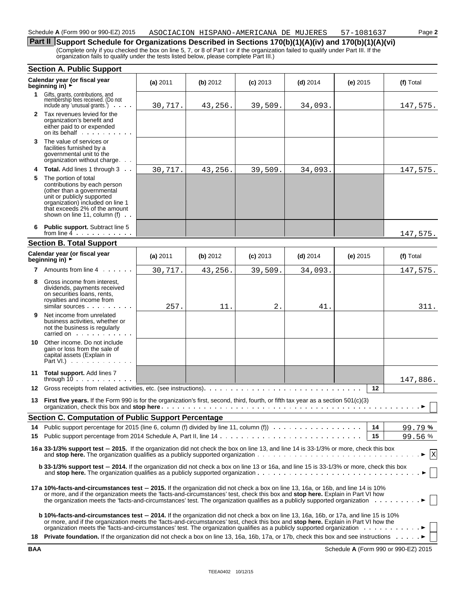#### **Part II** Support Schedule for Organizations Described in Sections 170(b)(1)(A)(iv) and 170(b)(1)(A)(vi) (Complete only if you checked the box on line 5, 7, or 8 of Part I or if the organization failed to qualify under Part III. If the organization fails to qualify under the tests listed below, please complete Part III.)

|             | <b>Section A. Public Support</b>                                                                                                                                                                                                                                                                                                                                                                  |          |          |            |            |            |    |              |
|-------------|---------------------------------------------------------------------------------------------------------------------------------------------------------------------------------------------------------------------------------------------------------------------------------------------------------------------------------------------------------------------------------------------------|----------|----------|------------|------------|------------|----|--------------|
|             | Calendar year (or fiscal year<br>beginning in) $\rightarrow$                                                                                                                                                                                                                                                                                                                                      | (a) 2011 | (b) 2012 | $(c)$ 2013 | $(d)$ 2014 | (e) 2015   |    | (f) Total    |
| $\mathbf 1$ | Gifts, grants, contributions, and<br>membership fees received. (Do not<br>include any 'unusual grants.')                                                                                                                                                                                                                                                                                          | 30,717.  | 43,256.  | 39,509.    | 34,093.    |            |    | 147,575.     |
| 2           | Tax revenues levied for the<br>organization's benefit and<br>either paid to or expended<br>on its behalf                                                                                                                                                                                                                                                                                          |          |          |            |            |            |    |              |
| 3           | The value of services or<br>facilities furnished by a<br>governmental unit to the<br>organization without charge                                                                                                                                                                                                                                                                                  |          |          |            |            |            |    |              |
| 4           | <b>Total.</b> Add lines 1 through 3                                                                                                                                                                                                                                                                                                                                                               | 30,717.  | 43,256.  | 39,509.    | 34,093.    |            |    | 147,575.     |
| 5           | The portion of total<br>contributions by each person<br>(other than a governmental<br>unit or publicly supported<br>organization) included on line 1<br>that exceeds 2% of the amount<br>shown on line 11, column (f) $\cdot$                                                                                                                                                                     |          |          |            |            |            |    |              |
| 6           | Public support. Subtract line 5                                                                                                                                                                                                                                                                                                                                                                   |          |          |            |            |            |    | 147,575.     |
|             | <b>Section B. Total Support</b>                                                                                                                                                                                                                                                                                                                                                                   |          |          |            |            |            |    |              |
|             | Calendar year (or fiscal year<br>beginning in) $\rightarrow$                                                                                                                                                                                                                                                                                                                                      | (a) 2011 | (b) 2012 | $(c)$ 2013 | $(d)$ 2014 | $(e)$ 2015 |    | (f) Total    |
|             | <b>7</b> Amounts from line 4                                                                                                                                                                                                                                                                                                                                                                      | 30,717.  | 43,256.  | 39,509.    | 34,093.    |            |    | 147,575.     |
| 8           | Gross income from interest.<br>dividends, payments received<br>on securities loans, rents,<br>royalties and income from<br>similar sources                                                                                                                                                                                                                                                        | 257.     | 11.      | $2$ .      | 41.        |            |    | 311.         |
| 9           | Net income from unrelated<br>business activities, whether or<br>not the business is regularly<br>carried on example and the set of the set of the set of the set of the set of the set of the set of the set of the set of the set of the set of the set of the set of the set of the set of the set of the set of the set of t                                                                   |          |          |            |            |            |    |              |
|             | 10 Other income. Do not include<br>gain or loss from the sale of<br>capital assets (Explain in<br>Part VI.) $\cdots$                                                                                                                                                                                                                                                                              |          |          |            |            |            |    |              |
|             | 11 Total support. Add lines 7<br>through $10$                                                                                                                                                                                                                                                                                                                                                     |          |          |            |            |            |    | 147,886.     |
| 12          |                                                                                                                                                                                                                                                                                                                                                                                                   |          |          |            |            |            | 12 |              |
| 13          | First five years. If the Form 990 is for the organization's first, second, third, fourth, or fifth tax year as a section $501(c)(3)$                                                                                                                                                                                                                                                              |          |          |            |            |            |    |              |
|             | <b>Section C. Computation of Public Support Percentage</b>                                                                                                                                                                                                                                                                                                                                        |          |          |            |            |            |    |              |
|             |                                                                                                                                                                                                                                                                                                                                                                                                   |          |          |            |            |            |    | 99.79%       |
| 15          |                                                                                                                                                                                                                                                                                                                                                                                                   |          |          |            |            |            |    | 99.56%       |
|             | 16 a 33-1/3% support test - 2015. If the organization did not check the box on line 13, and line 14 is 33-1/3% or more, check this box                                                                                                                                                                                                                                                            |          |          |            |            |            |    | $\mathbf{x}$ |
|             | b 33-1/3% support test - 2014. If the organization did not check a box on line 13 or 16a, and line 15 is 33-1/3% or more, check this box                                                                                                                                                                                                                                                          |          |          |            |            |            |    |              |
|             | 17a 10%-facts-and-circumstances test – 2015. If the organization did not check a box on line 13, 16a, or 16b, and line 14 is 10%<br>or more, and if the organization meets the 'facts-and-circumstances' test, check this box and stop here. Explain in Part VI how<br>the organization meets the 'facts-and-circumstances' test. The organization qualifies as a publicly supported organization |          |          |            |            |            |    |              |
|             | <b>b 10%-facts-and-circumstances test – 2014.</b> If the organization did not check a box on line 13, 16a, 16b, or 17a, and line 15 is 10%<br>or more, and if the organization meets the 'facts-and-circumstances' test, check this box and stop here. Explain in Part VI how the                                                                                                                 |          |          |            |            |            |    |              |
|             |                                                                                                                                                                                                                                                                                                                                                                                                   |          |          |            |            |            |    |              |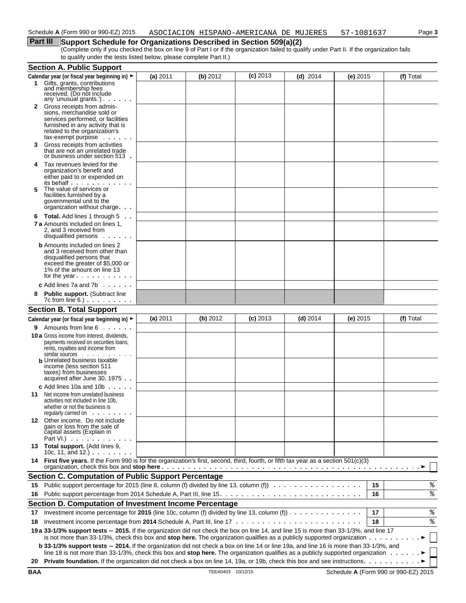# **Part III** Support Schedule for Organizations Described in Section 509(a)(2)

(Complete only if you checked the box on line 9 of Part I or if the organization failed to qualify under Part II. If the organization fails to qualify under the tests listed below, please complete Part II.)

|     | <b>Section A. Public Support</b>                                                                                                                                     |          |          |            |            |            |    |           |
|-----|----------------------------------------------------------------------------------------------------------------------------------------------------------------------|----------|----------|------------|------------|------------|----|-----------|
|     | Calendar year (or fiscal year beginning in) ►                                                                                                                        | (a) 2011 | (b) 2012 | $(c)$ 2013 | $(d)$ 2014 | $(e)$ 2015 |    | (f) Total |
| 1.  | Gifts, grants, contributions<br>and membership fees                                                                                                                  |          |          |            |            |            |    |           |
|     | received. (Do not include<br>any 'unusual grants.')                                                                                                                  |          |          |            |            |            |    |           |
|     | <b>2</b> Gross receipts from admis-                                                                                                                                  |          |          |            |            |            |    |           |
|     | sions, merchandise sold or                                                                                                                                           |          |          |            |            |            |    |           |
|     | services performed, or facilities<br>furnished in any activity that is                                                                                               |          |          |            |            |            |    |           |
|     | related to the organization's                                                                                                                                        |          |          |            |            |            |    |           |
|     | tax-exempt purpose                                                                                                                                                   |          |          |            |            |            |    |           |
| 3.  | Gross receipts from activities<br>that are not an unrelated trade<br>or business under section 513.                                                                  |          |          |            |            |            |    |           |
| 4   | Tax revenues levied for the                                                                                                                                          |          |          |            |            |            |    |           |
|     | organization's benefit and                                                                                                                                           |          |          |            |            |            |    |           |
|     | either paid to or expended on<br>its behalf                                                                                                                          |          |          |            |            |            |    |           |
| 5   | The value of services or                                                                                                                                             |          |          |            |            |            |    |           |
|     | facilities furnished by a<br>governmental unit to the                                                                                                                |          |          |            |            |            |    |           |
|     | organization without charge                                                                                                                                          |          |          |            |            |            |    |           |
|     | <b>6 Total.</b> Add lines 1 through 5                                                                                                                                |          |          |            |            |            |    |           |
|     | <b>7 a</b> Amounts included on lines 1.                                                                                                                              |          |          |            |            |            |    |           |
|     | 2. and 3 received from<br>disqualified persons                                                                                                                       |          |          |            |            |            |    |           |
|     | <b>b</b> Amounts included on lines 2                                                                                                                                 |          |          |            |            |            |    |           |
|     | and 3 received from other than                                                                                                                                       |          |          |            |            |            |    |           |
|     | disqualified persons that                                                                                                                                            |          |          |            |            |            |    |           |
|     | exceed the greater of \$5,000 or<br>1% of the amount on line 13                                                                                                      |          |          |            |            |            |    |           |
|     | for the year $\cdots$ $\cdots$                                                                                                                                       |          |          |            |            |            |    |           |
|     | <b>c</b> Add lines 7a and 7b $\ldots$                                                                                                                                |          |          |            |            |            |    |           |
|     | <b>Public support.</b> (Subtract line<br>$7c$ from line 6.) $\cdots$                                                                                                 |          |          |            |            |            |    |           |
|     | <b>Section B. Total Support</b>                                                                                                                                      |          |          |            |            |            |    |           |
|     | Calendar year (or fiscal year beginning in) ►                                                                                                                        | (a) 2011 | (b) 2012 | $(c)$ 2013 | $(d)$ 2014 | $(e)$ 2015 |    | (f) Total |
|     | <b>9</b> Amounts from line 6                                                                                                                                         |          |          |            |            |            |    |           |
|     | 10 a Gross income from interest, dividends,                                                                                                                          |          |          |            |            |            |    |           |
|     | payments received on securities loans,<br>rents, royalties and income from                                                                                           |          |          |            |            |            |    |           |
|     | similar sources                                                                                                                                                      |          |          |            |            |            |    |           |
|     | <b>b</b> Unrelated business taxable                                                                                                                                  |          |          |            |            |            |    |           |
|     | income (less section 511<br>taxes) from businesses                                                                                                                   |          |          |            |            |            |    |           |
|     | acquired after June 30, 1975                                                                                                                                         |          |          |            |            |            |    |           |
|     | c Add lines $10a$ and $10b \ldots$ .                                                                                                                                 |          |          |            |            |            |    |           |
| 11  | Net income from unrelated business                                                                                                                                   |          |          |            |            |            |    |           |
|     | activities not included in line 10b,<br>whether or not the business is                                                                                               |          |          |            |            |            |    |           |
|     | requiarly carried on                                                                                                                                                 |          |          |            |            |            |    |           |
|     | 12 Other income. Do not include                                                                                                                                      |          |          |            |            |            |    |           |
|     | gain or loss from the sale of<br>capital assets (Explain in                                                                                                          |          |          |            |            |            |    |           |
|     | Part VI.) $\cdots$                                                                                                                                                   |          |          |            |            |            |    |           |
|     | 13 Total support. (Add lines 9,                                                                                                                                      |          |          |            |            |            |    |           |
|     | 10c, 11, $\frac{1}{2}$ and 12.<br>First five years. If the Form 990 is for the organization's first, second, third, fourth, or fifth tax year as a section 501(c)(3) |          |          |            |            |            |    |           |
| 14  |                                                                                                                                                                      |          |          |            |            |            |    |           |
|     | <b>Section C. Computation of Public Support Percentage</b>                                                                                                           |          |          |            |            |            |    |           |
| 15. | Public support percentage for 2015 (line 8, column (f) divided by line 13, column (f)                                                                                |          |          |            |            |            | 15 | %         |
| 16  |                                                                                                                                                                      |          |          |            |            |            | 16 | %         |
|     | Section D. Computation of Investment Income Percentage                                                                                                               |          |          |            |            |            |    |           |
| 17  | Investment income percentage for 2015 (line 10c, column (f) divided by line 13, column (f) $\cdots$                                                                  |          |          |            |            |            | 17 | %         |
| 18  |                                                                                                                                                                      |          |          |            |            |            | 18 | ి         |
|     | 19 a 33-1/3% support tests - 2015. If the organization did not check the box on line 14, and line 15 is more than 33-1/3%, and line 17                               |          |          |            |            |            |    |           |
|     | is not more than 33-1/3%, check this box and stop here. The organization qualifies as a publicly supported organization $\cdots$ .                                   |          |          |            |            |            |    |           |
|     | <b>b</b> 33-1/3% support tests - 2014. If the organization did not check a box on line 14 or line 19a, and line 16 is more than 33-1/3%, and                         |          |          |            |            |            |    |           |
|     | line 18 is not more than 33-1/3%, check this box and stop here. The organization qualifies as a publicly supported organization ▶                                    |          |          |            |            |            |    |           |
|     |                                                                                                                                                                      |          |          |            |            |            |    |           |

**BAA** TEEA0403 10/12/15 Schedule **A** (Form 990 or 990-EZ) 2015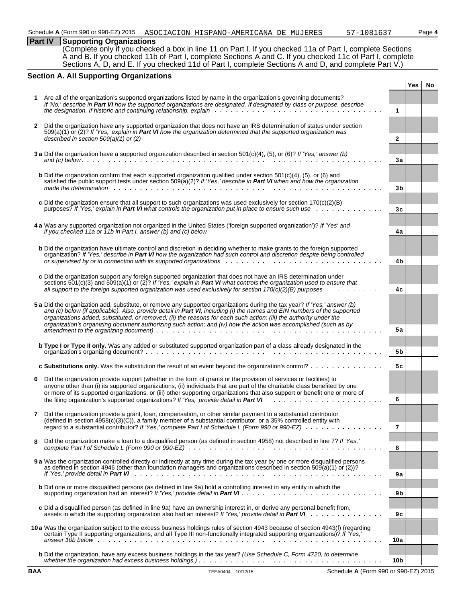**Part IV Supporting Organizations**

(Complete only if you checked a box in line 11 on Part I. If you checked 11a of Part I, complete Sections A and B. If you checked 11b of Part I, complete Sections A and C. If you checked 11c of Part I, complete Sections A, D, and E. If you checked 11d of Part I, complete Sections A and D, and complete Part V.)

# **Section A. All Supporting Organizations**

|              |                                                                                                                                                                                                                                                                                                                                                                                                                                                                                                 |                 | <b>Yes</b> | No |
|--------------|-------------------------------------------------------------------------------------------------------------------------------------------------------------------------------------------------------------------------------------------------------------------------------------------------------------------------------------------------------------------------------------------------------------------------------------------------------------------------------------------------|-----------------|------------|----|
|              | 1 Are all of the organization's supported organizations listed by name in the organization's governing documents?<br>If 'No,' describe in Part VI how the supported organizations are designated. If designated by class or purpose, describe                                                                                                                                                                                                                                                   |                 |            |    |
|              | the designation. If historic and continuing relationship, explain with the designation. If the designation. If $\alpha$                                                                                                                                                                                                                                                                                                                                                                         | $\mathbf{1}$    |            |    |
| $\mathbf{2}$ | Did the organization have any supported organization that does not have an IRS determination of status under section<br>509(a)(1) or (2)? If 'Yes,' explain in Part VI how the organization determined that the supported organization was                                                                                                                                                                                                                                                      |                 |            |    |
|              |                                                                                                                                                                                                                                                                                                                                                                                                                                                                                                 | $\overline{2}$  |            |    |
|              | 3 a Did the organization have a supported organization described in section $501(c)(4)$ , (5), or (6)? If 'Yes,' answer (b)                                                                                                                                                                                                                                                                                                                                                                     |                 |            |    |
|              |                                                                                                                                                                                                                                                                                                                                                                                                                                                                                                 | За              |            |    |
|              | <b>b</b> Did the organization confirm that each supported organization qualified under section $501(c)(4)$ , $(5)$ , or $(6)$ and<br>satisfied the public support tests under section 509(a)(2)? If 'Yes,' describe in Part VI when and how the organization                                                                                                                                                                                                                                    | 3b              |            |    |
|              |                                                                                                                                                                                                                                                                                                                                                                                                                                                                                                 |                 |            |    |
|              | c Did the organization ensure that all support to such organizations was used exclusively for section $170(c)(2)(B)$<br>purposes? If 'Yes,' explain in Part VI what controls the organization put in place to ensure such use                                                                                                                                                                                                                                                                   | 3c              |            |    |
|              | 4 a Was any supported organization not organized in the United States ('foreign supported organization')? If 'Yes' and                                                                                                                                                                                                                                                                                                                                                                          |                 |            |    |
|              |                                                                                                                                                                                                                                                                                                                                                                                                                                                                                                 | 4a              |            |    |
|              | <b>b</b> Did the organization have ultimate control and discretion in deciding whether to make grants to the foreign supported<br>organization? If 'Yes,' describe in Part VI how the organization had such control and discretion despite being controlled                                                                                                                                                                                                                                     |                 |            |    |
|              | or supervised by or in connection with its supported organizations $\cdots \cdots \cdots \cdots \cdots \cdots \cdots \cdots \cdots \cdots \cdots$                                                                                                                                                                                                                                                                                                                                               | 4b              |            |    |
|              |                                                                                                                                                                                                                                                                                                                                                                                                                                                                                                 |                 |            |    |
|              | c Did the organization support any foreign supported organization that does not have an IRS determination under<br>sections $501(c)(3)$ and $509(a)(1)$ or $(2)$ ? If 'Yes,' explain in <b>Part VI</b> what controls the organization used to ensure that                                                                                                                                                                                                                                       |                 |            |    |
|              | all support to the foreign supported organization was used exclusively for section $170(c)(2)(B)$ purposes                                                                                                                                                                                                                                                                                                                                                                                      | 4c              |            |    |
|              | 5 a Did the organization add, substitute, or remove any supported organizations during the tax year? If 'Yes,' answer (b)<br>and (c) below (if applicable). Also, provide detail in Part VI, including (i) the names and EIN numbers of the supported<br>organizations added, substituted, or removed; (ii) the reasons for each such action; (iii) the authority under the<br>organization's organizing document authorizing such action; and (iv) how the action was accomplished (such as by |                 |            |    |
|              |                                                                                                                                                                                                                                                                                                                                                                                                                                                                                                 | 5a              |            |    |
|              | b Type I or Type II only. Was any added or substituted supported organization part of a class already designated in the                                                                                                                                                                                                                                                                                                                                                                         | 5 <sub>b</sub>  |            |    |
|              | c Substitutions only. Was the substitution the result of an event beyond the organization's control?                                                                                                                                                                                                                                                                                                                                                                                            | 5с              |            |    |
| 6            | Did the organization provide support (whether in the form of grants or the provision of services or facilities) to<br>anyone other than (i) its supported organizations, (ii) individuals that are part of the charitable class benefited by one<br>or more of its supported organizations, or (iii) other supporting organizations that also support or benefit one or more of                                                                                                                 | 6               |            |    |
|              |                                                                                                                                                                                                                                                                                                                                                                                                                                                                                                 |                 |            |    |
|              | Did the organization provide a grant, loan, compensation, or other similar payment to a substantial contributor<br>(defined in section 4958(c)(3)(C)), a family member of a substantial contributor, or a 35% controlled entity with<br>regard to a substantial contributor? If 'Yes.' complete Part I of Schedule L (Form 990 or 990-EZ)                                                                                                                                                       | $\overline{7}$  |            |    |
| 8            | Did the organization make a loan to a disqualified person (as defined in section 4958) not described in line 7? If 'Yes,'                                                                                                                                                                                                                                                                                                                                                                       |                 |            |    |
|              |                                                                                                                                                                                                                                                                                                                                                                                                                                                                                                 | 8               |            |    |
|              | 9 a Was the organization controlled directly or indirectly at any time during the tax year by one or more disqualified persons<br>as defined in section 4946 (other than foundation managers and organizations described in section 509(a)(1) or (2))?                                                                                                                                                                                                                                          | 9a              |            |    |
|              |                                                                                                                                                                                                                                                                                                                                                                                                                                                                                                 |                 |            |    |
|              | b Did one or more disqualified persons (as defined in line 9a) hold a controlling interest in any entity in which the                                                                                                                                                                                                                                                                                                                                                                           | 9b              |            |    |
|              | c Did a disqualified person (as defined in line 9a) have an ownership interest in, or derive any personal benefit from,<br>assets in which the supporting organization also had an interest? If 'Yes,' provide detail in Part VI                                                                                                                                                                                                                                                                | 9c              |            |    |
|              | 10a Was the organization subject to the excess business holdings rules of section 4943 because of section 4943(f) (regarding<br>certain Type II supporting organizations, and all Type III non-functionally integrated supporting organizations)? If 'Yes,'                                                                                                                                                                                                                                     |                 |            |    |
|              |                                                                                                                                                                                                                                                                                                                                                                                                                                                                                                 | 10a             |            |    |
|              | <b>b</b> Did the organization, have any excess business holdings in the tax year? (Use Schedule C, Form 4720, to determine                                                                                                                                                                                                                                                                                                                                                                      | 10 <sub>b</sub> |            |    |
| <b>BAA</b>   | Schedule A (Form 990 or 990-EZ) 2015<br>TEEA0404 10/12/15                                                                                                                                                                                                                                                                                                                                                                                                                                       |                 |            |    |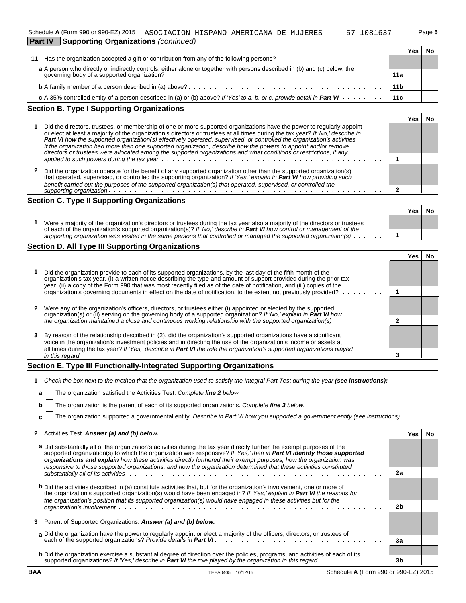|                | Schedule A (Form 990 or 990-EZ) 2015 | ASOCIACION HISPANO-AMERICANA DE MUJERES |  | 57-1081637 | Page 5 |
|----------------|--------------------------------------|-----------------------------------------|--|------------|--------|
| <b>Part IV</b> | Supporting Organizations (continued) |                                         |  |            |        |
|                |                                      |                                         |  |            |        |

|    |                                                                                                                            |             | Yes |  |
|----|----------------------------------------------------------------------------------------------------------------------------|-------------|-----|--|
| 11 | Has the organization accepted a gift or contribution from any of the following persons?                                    |             |     |  |
|    | a A person who directly or indirectly controls, either alone or together with persons described in (b) and (c) below, the  |             |     |  |
|    |                                                                                                                            | 11a         |     |  |
|    |                                                                                                                            | 11 <b>b</b> |     |  |
|    | c A 35% controlled entity of a person described in (a) or (b) above? If 'Yes' to a, b, or c, provide detail in Part VI 11c |             |     |  |
|    | <b>Section B. Type I Supporting Organizations</b>                                                                          |             |     |  |

|                                                                                                                                                                                                                                                                                                                                                                                                                                                                                                                                                                                                                               | Yes |  |
|-------------------------------------------------------------------------------------------------------------------------------------------------------------------------------------------------------------------------------------------------------------------------------------------------------------------------------------------------------------------------------------------------------------------------------------------------------------------------------------------------------------------------------------------------------------------------------------------------------------------------------|-----|--|
| Did the directors, trustees, or membership of one or more supported organizations have the power to regularly appoint<br>or elect at least a majority of the organization's directors or trustees at all times during the tax year? If 'No,' describe in<br>Part VI how the supported organization(s) effectively operated, supervised, or controlled the organization's activities.<br>If the organization had more than one supported organization, describe how the powers to appoint and/or remove<br>directors or trustees were allocated among the supported organizations and what conditions or restrictions, if any, |     |  |
|                                                                                                                                                                                                                                                                                                                                                                                                                                                                                                                                                                                                                               |     |  |
| Did the organization operate for the benefit of any supported organization other than the supported organization(s)<br>that operated, supervised, or controlled the supporting organization? If 'Yes,' explain in Part VI how providing such<br>benefit carried out the purposes of the supported organization(s) that operated, supervised, or controlled the                                                                                                                                                                                                                                                                |     |  |
| supporting organization $\cdots$<br>and the contract of the contract of the contract of the contract of the contract of the contract of the contract of the contract of the contract of the contract of the contract of the contract of the contract of the contra                                                                                                                                                                                                                                                                                                                                                            |     |  |

# **Section C. Type II Supporting Organizations**

|                                                                                                                                                                                                                                                               | Yes | No |
|---------------------------------------------------------------------------------------------------------------------------------------------------------------------------------------------------------------------------------------------------------------|-----|----|
| Were a majority of the organization's directors or trustees during the tax year also a majority of the directors or trustees<br>of each of the organization's supported organization(s)? If 'No,' describe in <b>Part VI</b> how control or management of the |     |    |
| supporting organization was vested in the same persons that controlled or managed the supported organization(s) $\ldots$                                                                                                                                      |     |    |

# **Section D. All Type III Supporting Organizations**

|                                                                                                                                                                                                                                                                                                                                                                    |  | 7es |  |  |
|--------------------------------------------------------------------------------------------------------------------------------------------------------------------------------------------------------------------------------------------------------------------------------------------------------------------------------------------------------------------|--|-----|--|--|
| Did the organization provide to each of its supported organizations, by the last day of the fifth month of the<br>organization's tax year, (i) a written notice describing the type and amount of support provided during the prior tax<br>year, (ii) a copy of the Form 990 that was most recently filed as of the date of notification, and (iii) copies of the  |  |     |  |  |
| organization's governing documents in effect on the date of notification, to the extent not previously provided?                                                                                                                                                                                                                                                   |  |     |  |  |
| Were any of the organization's officers, directors, or trustees either (i) appointed or elected by the supported<br>organization(s) or (ii) serving on the governing body of a supported organization? If 'No,' explain in Part VI how                                                                                                                             |  |     |  |  |
| the organization maintained a close and continuous working relationship with the supported organization(s). $\dots \dots \dots$                                                                                                                                                                                                                                    |  |     |  |  |
| By reason of the relationship described in (2), did the organization's supported organizations have a significant<br>voice in the organization's investment policies and in directing the use of the organization's income or assets at<br>all times during the tax year? If 'Yes,' describe in Part VI the role the organization's supported organizations played |  |     |  |  |
| in this reaard                                                                                                                                                                                                                                                                                                                                                     |  |     |  |  |

# **Section E. Type III Functionally-Integrated Supporting Organizations**

| <b>a</b>   The organization satisfied the Activities Test. Complete <b>line 2</b> below.                     |  |
|--------------------------------------------------------------------------------------------------------------|--|
| $\mathbf{b}$   The organization is the parent of each of its supported organizations. Complete line 3 below. |  |
|                                                                                                              |  |

|  | 2 Activities Test. Answer (a) and (b) below. | Yes No |  |
|--|----------------------------------------------|--------|--|
|--|----------------------------------------------|--------|--|

| <b>BAA</b>                                                     | TEEA0405 10/12/15                                                                                                                                                                                                                                                                                                                                                                                                                                                                                                                                                                                                | Schedule A (Form 990 or 990-EZ) 2015 |                |  |  |
|----------------------------------------------------------------|------------------------------------------------------------------------------------------------------------------------------------------------------------------------------------------------------------------------------------------------------------------------------------------------------------------------------------------------------------------------------------------------------------------------------------------------------------------------------------------------------------------------------------------------------------------------------------------------------------------|--------------------------------------|----------------|--|--|
|                                                                | <b>b</b> Did the organization exercise a substantial degree of direction over the policies, programs, and activities of each of its<br>supported organizations? If 'Yes,' describe in <b>Part VI</b> the role played by the organization in this regard $\cdots$                                                                                                                                                                                                                                                                                                                                                 |                                      | 3 <sub>b</sub> |  |  |
|                                                                | a Did the organization have the power to regularly appoint or elect a majority of the officers, directors, or trustees of<br>each of the supported organizations? Provide details in Part VI.                                                                                                                                                                                                                                                                                                                                                                                                                    |                                      | Зa             |  |  |
| 3 Parent of Supported Organizations. Answer (a) and (b) below. |                                                                                                                                                                                                                                                                                                                                                                                                                                                                                                                                                                                                                  |                                      |                |  |  |
|                                                                | <b>b</b> Did the activities described in (a) constitute activities that, but for the organization's involvement, one or more of<br>the organization's supported organization(s) would have been engaged in? If 'Yes,' explain in Part VI the reasons for<br>the organization's position that its supported organization(s) would have engaged in these activities but for the                                                                                                                                                                                                                                    |                                      | 2b             |  |  |
|                                                                | a Did substantially all of the organization's activities during the tax year directly further the exempt purposes of the<br>supported organization(s) to which the organization was responsive? If 'Yes,' then in Part VI identify those supported<br>organizations and explain how these activities directly furthered their exempt purposes, how the organization was<br>responsive to those supported organizations, and how the organization determined that these activities constituted<br>substantially all of its activities equal to provide the control of the control of the control of the control o |                                      |                |  |  |
|                                                                |                                                                                                                                                                                                                                                                                                                                                                                                                                                                                                                                                                                                                  |                                      |                |  |  |
|                                                                |                                                                                                                                                                                                                                                                                                                                                                                                                                                                                                                                                                                                                  |                                      |                |  |  |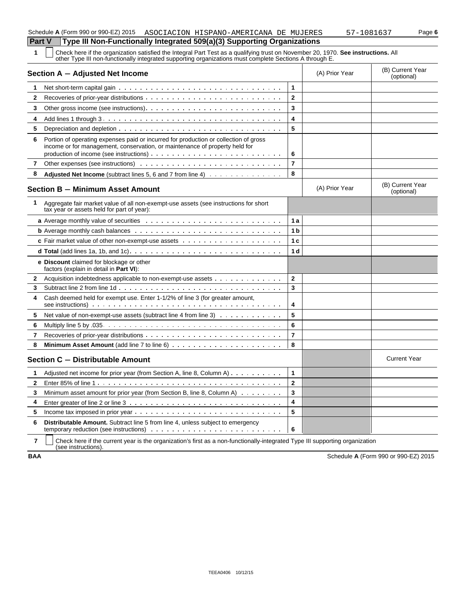**1** Check here if the organization satisfied the Integral Part Test as a qualifying trust on November 20, 1970. **See instructions.** All other Type III non-functionally integrated supporting organizations must complete Sections A through E.

|              | Section A - Adjusted Net Income                                                                                                                                     |                | (A) Prior Year | (B) Current Year<br>(optional) |
|--------------|---------------------------------------------------------------------------------------------------------------------------------------------------------------------|----------------|----------------|--------------------------------|
| 1            |                                                                                                                                                                     | 1              |                |                                |
| $\mathbf{2}$ |                                                                                                                                                                     | $\mathbf{2}$   |                |                                |
| 3            |                                                                                                                                                                     | 3              |                |                                |
| 4            |                                                                                                                                                                     | 4              |                |                                |
| 5            |                                                                                                                                                                     | 5              |                |                                |
| 6            | Portion of operating expenses paid or incurred for production or collection of gross<br>income or for management, conservation, or maintenance of property held for | 6              |                |                                |
| 7            |                                                                                                                                                                     | $\overline{7}$ |                |                                |
| 8            | <b>Adjusted Net Income</b> (subtract lines 5, 6 and 7 from line 4)                                                                                                  | 8              |                |                                |
|              | <b>Section B - Minimum Asset Amount</b>                                                                                                                             |                | (A) Prior Year | (B) Current Year<br>(optional) |
| 1            | Aggregate fair market value of all non-exempt-use assets (see instructions for short<br>tax year or assets held for part of year):                                  |                |                |                                |
|              |                                                                                                                                                                     | 1a             |                |                                |
|              |                                                                                                                                                                     | 1 b            |                |                                |
|              |                                                                                                                                                                     | 1 <sub>c</sub> |                |                                |
|              |                                                                                                                                                                     | 1 <sub>d</sub> |                |                                |
|              | <b>e</b> Discount claimed for blockage or other<br>factors (explain in detail in Part VI):                                                                          |                |                |                                |
| 2            | Acquisition indebtedness applicable to non-exempt-use assets                                                                                                        | $\overline{2}$ |                |                                |
| 3            |                                                                                                                                                                     | 3              |                |                                |
| 4            | Cash deemed held for exempt use. Enter 1-1/2% of line 3 (for greater amount,                                                                                        | 4              |                |                                |
| 5            | Net value of non-exempt-use assets (subtract line 4 from line 3)                                                                                                    | 5              |                |                                |
| 6            |                                                                                                                                                                     | 6              |                |                                |
| 7            |                                                                                                                                                                     | 7              |                |                                |
| 8            |                                                                                                                                                                     | 8              |                |                                |
|              | Section C - Distributable Amount                                                                                                                                    |                |                | <b>Current Year</b>            |
| 1            | Adjusted net income for prior year (from Section A, line 8, Column A) $\dots$                                                                                       | $\mathbf{1}$   |                |                                |
| $\mathbf{2}$ |                                                                                                                                                                     | $\overline{2}$ |                |                                |
| 3            | Minimum asset amount for prior year (from Section B, line 8, Column A) $\ldots$                                                                                     | 3              |                |                                |
| 4            |                                                                                                                                                                     | 4              |                |                                |
| 5            |                                                                                                                                                                     | 5              |                |                                |
| 6            | <b>Distributable Amount.</b> Subtract line 5 from line 4, unless subject to emergency                                                                               | 6              |                |                                |

**7** | Check here if the current year is the organization's first as a non-functionally-integrated Type III supporting organization (see instructions).

**BAA** Schedule **A** (Form 990 or 990-EZ) 2015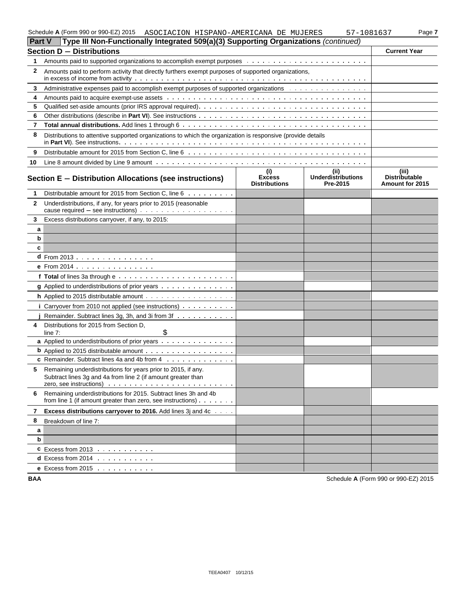| Schedule A (Form 990 or 990-EZ) 2015 | HISPANO-AMERICANA DE MUJERES<br>ASOCIACION | $\overline{\phantom{a}}$ | Page |
|--------------------------------------|--------------------------------------------|--------------------------|------|
|                                      |                                            |                          |      |

| <b>Part V</b>  | Type III Non-Functionally Integrated 509(a)(3) Supporting Organizations (continued)                                                     |                                              |                                               |                                           |
|----------------|-----------------------------------------------------------------------------------------------------------------------------------------|----------------------------------------------|-----------------------------------------------|-------------------------------------------|
|                | <b>Section D - Distributions</b>                                                                                                        |                                              |                                               | <b>Current Year</b>                       |
| 1              |                                                                                                                                         |                                              |                                               |                                           |
| 2              | Amounts paid to perform activity that directly furthers exempt purposes of supported organizations,                                     |                                              |                                               |                                           |
| 3              | Administrative expenses paid to accomplish exempt purposes of supported organizations                                                   |                                              |                                               |                                           |
| 4              |                                                                                                                                         |                                              |                                               |                                           |
| 5              |                                                                                                                                         |                                              |                                               |                                           |
| 6              |                                                                                                                                         |                                              |                                               |                                           |
| 7              |                                                                                                                                         |                                              |                                               |                                           |
| 8              | Distributions to attentive supported organizations to which the organization is responsive (provide details                             |                                              |                                               |                                           |
| 9              |                                                                                                                                         |                                              |                                               |                                           |
| 10             |                                                                                                                                         |                                              |                                               |                                           |
|                | Section E - Distribution Allocations (see instructions)                                                                                 | (i)<br><b>Excess</b><br><b>Distributions</b> | (ii)<br><b>Underdistributions</b><br>Pre-2015 | (iii)<br>Distributable<br>Amount for 2015 |
| 1              | Distributable amount for 2015 from Section C, line 6                                                                                    |                                              |                                               |                                           |
| $\mathbf{2}$   | Underdistributions, if any, for years prior to 2015 (reasonable                                                                         |                                              |                                               |                                           |
| 3              | Excess distributions carryover, if any, to 2015:                                                                                        |                                              |                                               |                                           |
| a              |                                                                                                                                         |                                              |                                               |                                           |
| b              |                                                                                                                                         |                                              |                                               |                                           |
| c              |                                                                                                                                         |                                              |                                               |                                           |
|                | d From 2013                                                                                                                             |                                              |                                               |                                           |
|                | e From 2014                                                                                                                             |                                              |                                               |                                           |
|                |                                                                                                                                         |                                              |                                               |                                           |
|                | g Applied to underdistributions of prior years                                                                                          |                                              |                                               |                                           |
|                | <b>h</b> Applied to 2015 distributable amount $\cdots$ $\cdots$ $\cdots$ $\cdots$ $\cdots$ $\cdots$                                     |                                              |                                               |                                           |
|                | <b>i</b> Carryover from 2010 not applied (see instructions) $\cdots$                                                                    |                                              |                                               |                                           |
|                | Remainder. Subtract lines 3g, 3h, and 3i from 3f                                                                                        |                                              |                                               |                                           |
| 4              | Distributions for 2015 from Section D,                                                                                                  |                                              |                                               |                                           |
|                | line $7:$<br>Ş                                                                                                                          |                                              |                                               |                                           |
|                | a Applied to underdistributions of prior years                                                                                          |                                              |                                               |                                           |
|                |                                                                                                                                         |                                              |                                               |                                           |
|                | <b>c</b> Remainder. Subtract lines 4a and 4b from $4 \cdot \cdot \cdot \cdot \cdot \cdot \cdot \cdot \cdot \cdot \cdot \cdot \cdot$     |                                              |                                               |                                           |
| 5              | Remaining underdistributions for years prior to 2015, if any.<br>Subtract lines 3g and 4a from line 2 (if amount greater than           |                                              |                                               |                                           |
| 6              | Remaining underdistributions for 2015. Subtract lines 3h and 4b<br>from line 1 (if amount greater than zero, see instructions) $\cdots$ |                                              |                                               |                                           |
| $\overline{7}$ | Excess distributions carryover to 2016. Add lines 3j and 4c                                                                             |                                              |                                               |                                           |
| 8              | Breakdown of line 7:                                                                                                                    |                                              |                                               |                                           |
| a              |                                                                                                                                         |                                              |                                               |                                           |
| b              |                                                                                                                                         |                                              |                                               |                                           |
|                | <b>c</b> Excess from 2013 $\ldots$ $\ldots$ $\ldots$                                                                                    |                                              |                                               |                                           |
|                | <b>d</b> Excess from $2014$                                                                                                             |                                              |                                               |                                           |
|                | e Excess from $2015$                                                                                                                    |                                              |                                               |                                           |

**BAA** Schedule **A** (Form 990 or 990-EZ) 2015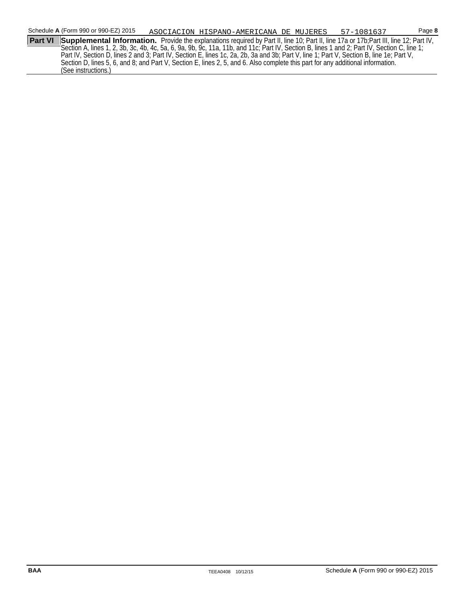**Part VI** Supplemental Information. Provide the explanations required by Part II, line 10; Part II, line 17a or 17b; Part III, line 12; Part IV, Section A, lines 1, 2, 3b, 3c, 4b, 4c, 5a, 6, 9a, 9b, 9c, 11a, 11b, and 11c; Part IV, Section B, lines 1 and 2; Part IV, Section C, line 1; Part IV, Section D, lines 2 and 3; Part IV, Section E, lines 1c, 2a, 2b, 3a and 3b; Part V, line 1; Part V, Section B, line 1e; Part V, Section D, lines 5, 6, and 8; and Part V, Section E, lines 2, 5, and 6. Also complete this part for any additional information. (See instructions.)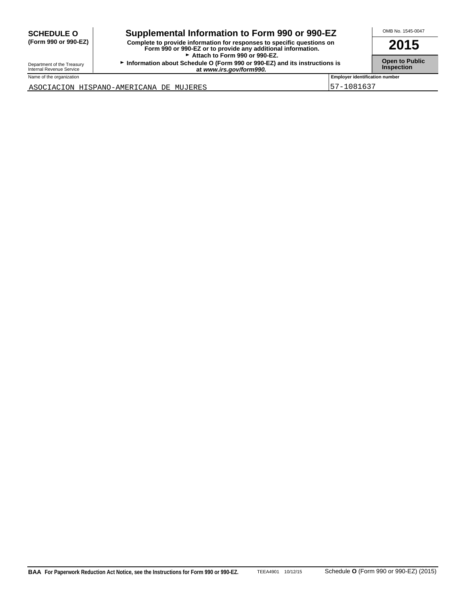# SCHEDULE O **combination to Form 990 or 990-EZ COMB No. 1545-0047**

**(Form 990 or 990-EZ) Complete to provide information for responses to specific questions on Form 990 or 990-EZ or to provide any additional information. 2015** Attach to Form 990 or 990-EZ.

**Department of the Treasury <b>Information about Schedule O** (Form 990 or 990-EZ) and its instructions is **Open to Public**<br>Internal Revenue Service **Inspection at** *www.irs.gov/form990.* **at 1.6 and its instructions is** 

Name of the organization **Employer identification number Employer identification number** 

ASOCIACION HISPANO-AMERICANA DE MUJERES 57-1081637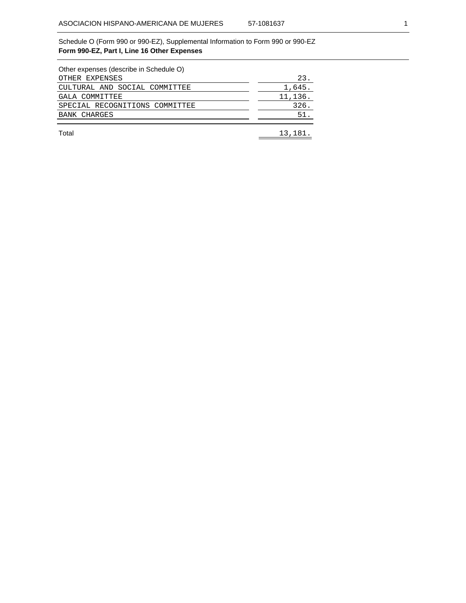### Schedule O (Form 990 or 990-EZ), Supplemental Information to Form 990 or 990-EZ **Form 990-EZ, Part I, Line 16 Other Expenses**

| Other expenses (describe in Schedule O) |         |
|-----------------------------------------|---------|
| OTHER EXPENSES                          | 23.     |
| CULTURAL AND SOCIAL COMMITTEE           | 1,645.  |
| GALA COMMITTEE                          | 11,136. |
| SPECIAL RECOGNITIONS COMMITTEE          | 326.    |
| <b>BANK CHARGES</b>                     | 51      |
| Total                                   | 13,181. |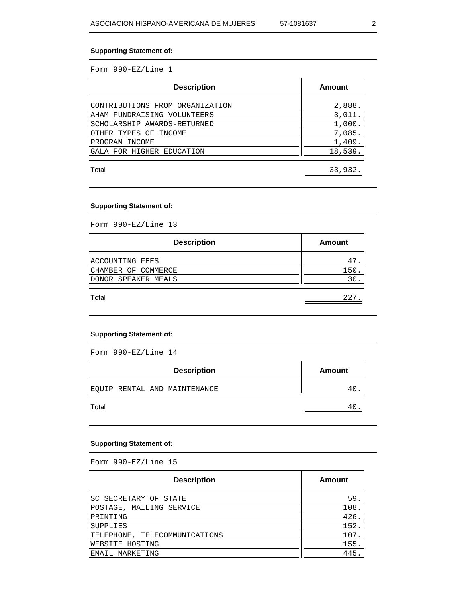#### **Supporting Statement of:**

Form 990-EZ/Line 1

| <b>Description</b>              | Amount  |
|---------------------------------|---------|
| CONTRIBUTIONS FROM ORGANIZATION | 2,888.  |
| AHAM FUNDRAISING-VOLUNTEERS     | 3,011.  |
| SCHOLARSHIP AWARDS-RETURNED     | 1,000.  |
| OTHER TYPES OF INCOME           | 7,085.  |
| PROGRAM INCOME                  | 1,409.  |
| GALA FOR HIGHER EDUCATION       | 18,539. |
|                                 |         |
| Total                           | 33,932. |

## **Supporting Statement of:**

Form 990-EZ/Line 13

| <b>Description</b>  | Amount |
|---------------------|--------|
| ACCOUNTING FEES     | 47.    |
| CHAMBER OF COMMERCE | 150.   |
| DONOR SPEAKER MEALS | 30     |
| Total               | 227    |

## **Supporting Statement of:**

Form 990-EZ/Line 14

| <b>Description</b>           | <b>Amount</b> |
|------------------------------|---------------|
| EQUIP RENTAL AND MAINTENANCE | 41            |
| Total                        | 4             |

#### **Supporting Statement of:**

Form 990-EZ/Line 15

| <b>Description</b>            | Amount |
|-------------------------------|--------|
| SC SECRETARY OF STATE         | 59.    |
| POSTAGE, MAILING SERVICE      | 108.   |
| PRINTING                      | 426.   |
| SUPPLIES                      | 152.   |
| TELEPHONE, TELECOMMUNICATIONS | 107.   |
| WEBSITE HOSTING               | 155.   |
| EMAIL MARKETING               | 445.   |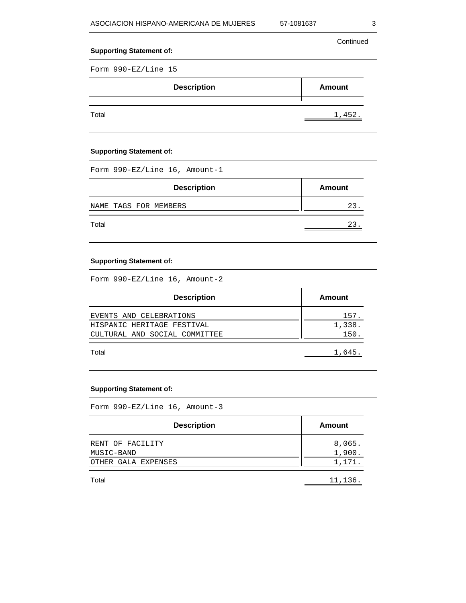| <b>Supporting Statement of:</b> | Continued     |
|---------------------------------|---------------|
| Form 990-EZ/Line 15             |               |
| <b>Description</b>              | <b>Amount</b> |
|                                 |               |
| Total                           | 1,452.        |
|                                 |               |
| <b>Supporting Statement of:</b> |               |
| Form 990-EZ/Line 16, Amount-1   |               |
| <b>Description</b>              | <b>Amount</b> |
| NAME TAGS FOR MEMBERS           | 23.           |
| Total                           | 23.           |
| <b>Supporting Statement of:</b> |               |
| Form 990-EZ/Line 16, Amount-2   |               |
| <b>Description</b>              | <b>Amount</b> |
| EVENTS AND CELEBRATIONS         | 157.          |
| HISPANIC HERITAGE FESTIVAL      | 1,338.        |
| CULTURAL AND SOCIAL COMMITTEE   | 150.          |
| Total                           | 1,645.        |
| <b>Supporting Statement of:</b> |               |
| Form 990-EZ/Line 16, Amount-3   |               |

| <b>Description</b>  | <b>Amount</b> |
|---------------------|---------------|
| RENT OF FACILITY    | 8,065.        |
| MUSIC-BAND          | 1,900.        |
| OTHER GALA EXPENSES | 1,171.        |
|                     |               |

Total 11,136.